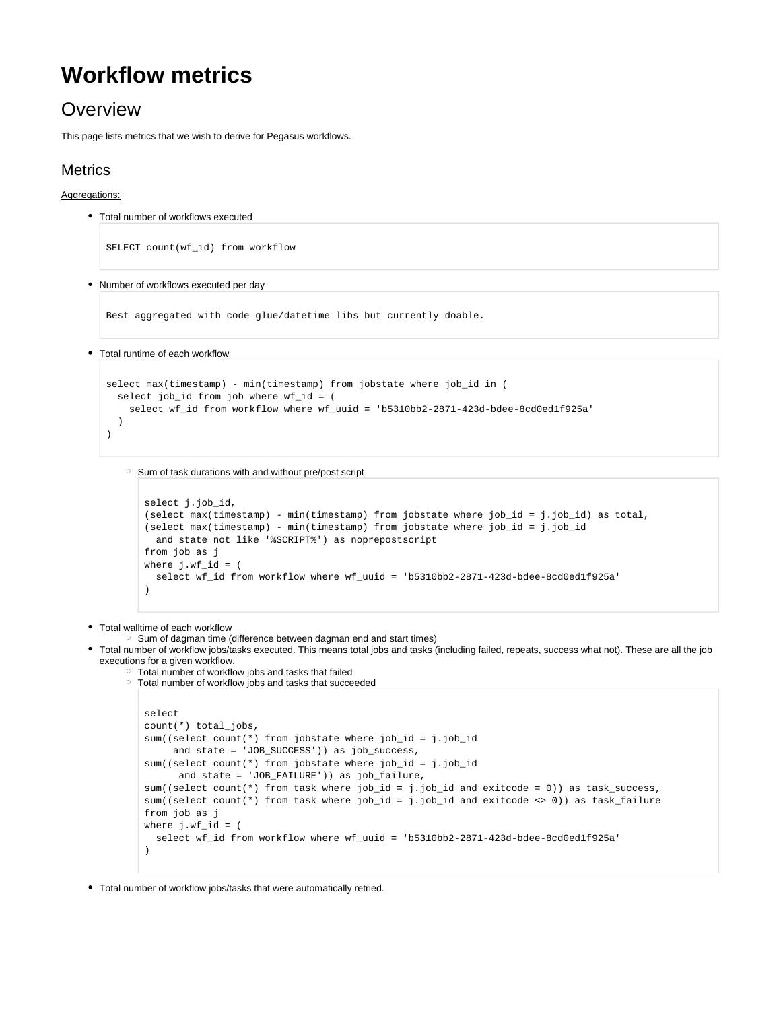# **Workflow metrics**

## **Overview**

This page lists metrics that we wish to derive for Pegasus workflows.

## **Metrics**

### Aggregations:

- Total number of workflows executed
	- SELECT count(wf\_id) from workflow
- Number of workflows executed per day

Best aggregated with code glue/datetime libs but currently doable.

Total runtime of each workflow

```
select max(timestamp) - min(timestamp) from jobstate where job_id in (
   select job_id from job where wf_id = (
     select wf_id from workflow where wf_uuid = 'b5310bb2-2871-423d-bdee-8cd0ed1f925a'
   )
)
```
<sup>o</sup> Sum of task durations with and without pre/post script

```
select j.job_id,
(select max(timestamp) - min(timestamp) from jobstate where job_id = j.job_id) as total,
(select max(timestamp) - min(timestamp) from jobstate where job_id = j.job_id
  and state not like '%SCRIPT%') as noprepostscript
from job as j
where j.wf_id = (
  select wf_id from workflow where wf_uuid = 'b5310bb2-2871-423d-bdee-8cd0ed1f925a'
\lambda
```
• Total walltime of each workflow

<sup>o</sup> Sum of dagman time (difference between dagman end and start times)

- Total number of workflow jobs/tasks executed. This means total jobs and tasks (including failed, repeats, success what not). These are all the job executions for a given workflow.
	- Total number of workflow jobs and tasks that failed Total number of workflow jobs and tasks that succeeded

```
select
count(*) total_jobs,
sum((select count(*) from jobstate where job_id = j.job_id
      and state = 'JOB_SUCCESS')) as job_success,
sum((select count(*) from jobstate where job_id = j.job_id
       and state = 'JOB_FAILURE')) as job_failure,
sum((select count(*) from task where job_id = j.job_id and exitcode = 0)) as task_success,
sum((select count(*) from task where job_id = j.job_id and exitcode <> 0)) as task_failure
from job as j
where i.wf id = (
  select wf_id from workflow where wf_uuid = 'b5310bb2-2871-423d-bdee-8cd0ed1f925a'
\lambda
```
Total number of workflow jobs/tasks that were automatically retried.